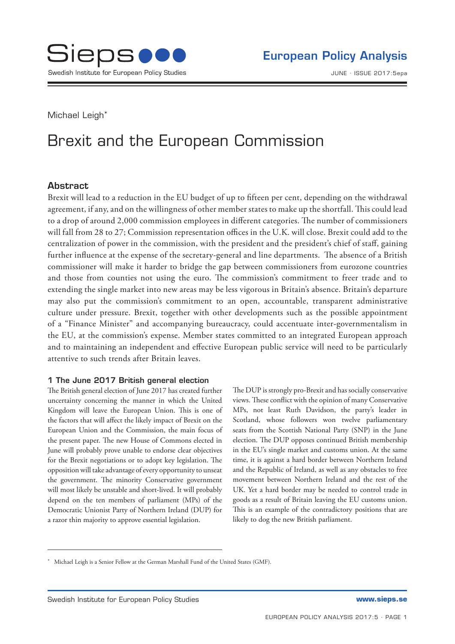Michael Leigh<sup>\*</sup>

# Brexit and the European Commission

## Abstract

Brexit will lead to a reduction in the EU budget of up to fifteen per cent, depending on the withdrawal agreement, if any, and on the willingness of other member states to make up the shortfall. This could lead to a drop of around 2,000 commission employees in different categories. The number of commissioners will fall from 28 to 27; Commission representation offices in the U.K. will close. Brexit could add to the centralization of power in the commission, with the president and the president's chief of staff, gaining further influence at the expense of the secretary-general and line departments. The absence of a British commissioner will make it harder to bridge the gap between commissioners from eurozone countries and those from counties not using the euro. The commission's commitment to freer trade and to extending the single market into new areas may be less vigorous in Britain's absence. Britain's departure may also put the commission's commitment to an open, accountable, transparent administrative culture under pressure. Brexit, together with other developments such as the possible appointment of a "Finance Minister" and accompanying bureaucracy, could accentuate inter-governmentalism in the EU, at the commission's expense. Member states committed to an integrated European approach and to maintaining an independent and effective European public service will need to be particularly attentive to such trends after Britain leaves.

### 1 The June 2017 British general election

The British general election of June 2017 has created further uncertainty concerning the manner in which the United Kingdom will leave the European Union. This is one of the factors that will affect the likely impact of Brexit on the European Union and the Commission, the main focus of the present paper. The new House of Commons elected in June will probably prove unable to endorse clear objectives for the Brexit negotiations or to adopt key legislation. The opposition will take advantage of every opportunity to unseat the government. The minority Conservative government will most likely be unstable and short-lived. It will probably depend on the ten members of parliament (MPs) of the Democratic Unionist Party of Northern Ireland (DUP) for a razor thin majority to approve essential legislation.

The DUP is strongly pro-Brexit and has socially conservative views. These conflict with the opinion of many Conservative MPs, not least Ruth Davidson, the party's leader in Scotland, whose followers won twelve parliamentary seats from the Scottish National Party (SNP) in the June election. The DUP opposes continued British membership in the EU's single market and customs union. At the same time, it is against a hard border between Northern Ireland and the Republic of Ireland, as well as any obstacles to free movement between Northern Ireland and the rest of the UK. Yet a hard border may be needed to control trade in goods as a result of Britain leaving the EU customs union. This is an example of the contradictory positions that are likely to dog the new British parliament.

<sup>\*</sup> Michael Leigh is a Senior Fellow at the German Marshall Fund of the United States (GMF).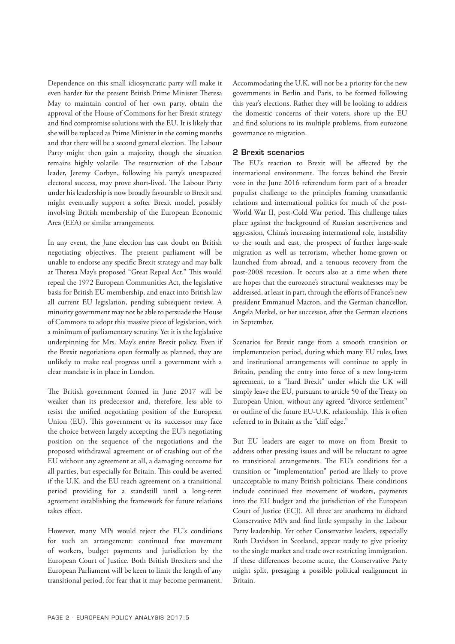Dependence on this small idiosyncratic party will make it even harder for the present British Prime Minister Theresa May to maintain control of her own party, obtain the approval of the House of Commons for her Brexit strategy and find compromise solutions with the EU. It is likely that she will be replaced as Prime Minister in the coming months and that there will be a second general election. The Labour Party might then gain a majority, though the situation remains highly volatile. The resurrection of the Labour leader, Jeremy Corbyn, following his party's unexpected electoral success, may prove short-lived. The Labour Party under his leadership is now broadly favourable to Brexit and might eventually support a softer Brexit model, possibly involving British membership of the European Economic Area (EEA) or similar arrangements.

In any event, the June election has cast doubt on British negotiating objectives. The present parliament will be unable to endorse any specific Brexit strategy and may balk at Theresa May's proposed "Great Repeal Act." This would repeal the 1972 European Communities Act, the legislative basis for British EU membership, and enact into British law all current EU legislation, pending subsequent review. A minority government may not be able to persuade the House of Commons to adopt this massive piece of legislation, with a minimum of parliamentary scrutiny. Yet it is the legislative underpinning for Mrs. May's entire Brexit policy. Even if the Brexit negotiations open formally as planned, they are unlikely to make real progress until a government with a clear mandate is in place in London.

The British government formed in June 2017 will be weaker than its predecessor and, therefore, less able to resist the unified negotiating position of the European Union (EU). This government or its successor may face the choice between largely accepting the EU's negotiating position on the sequence of the negotiations and the proposed withdrawal agreement or of crashing out of the EU without any agreement at all, a damaging outcome for all parties, but especially for Britain. This could be averted if the U.K. and the EU reach agreement on a transitional period providing for a standstill until a long-term agreement establishing the framework for future relations takes effect.

However, many MPs would reject the EU's conditions for such an arrangement: continued free movement of workers, budget payments and jurisdiction by the European Court of Justice. Both British Brexiters and the European Parliament will be keen to limit the length of any transitional period, for fear that it may become permanent. Accommodating the U.K. will not be a priority for the new governments in Berlin and Paris, to be formed following this year's elections. Rather they will be looking to address the domestic concerns of their voters, shore up the EU and find solutions to its multiple problems, from eurozone governance to migration.

#### 2 Brexit scenarios

The EU's reaction to Brexit will be affected by the international environment. The forces behind the Brexit vote in the June 2016 referendum form part of a broader populist challenge to the principles framing transatlantic relations and international politics for much of the post-World War II, post-Cold War period. This challenge takes place against the background of Russian assertiveness and aggression, China's increasing international role, instability to the south and east, the prospect of further large-scale migration as well as terrorism, whether home-grown or launched from abroad, and a tenuous recovery from the post-2008 recession. It occurs also at a time when there are hopes that the eurozone's structural weaknesses may be addressed, at least in part, through the efforts of France's new president Emmanuel Macron, and the German chancellor, Angela Merkel, or her successor, after the German elections in September.

Scenarios for Brexit range from a smooth transition or implementation period, during which many EU rules, laws and institutional arrangements will continue to apply in Britain, pending the entry into force of a new long-term agreement, to a "hard Brexit" under which the UK will simply leave the EU, pursuant to article 50 of the Treaty on European Union, without any agreed "divorce settlement" or outline of the future EU-U.K. relationship. This is often referred to in Britain as the "cliff edge."

But EU leaders are eager to move on from Brexit to address other pressing issues and will be reluctant to agree to transitional arrangements. The EU's conditions for a transition or "implementation" period are likely to prove unacceptable to many British politicians. These conditions include continued free movement of workers, payments into the EU budget and the jurisdiction of the European Court of Justice (ECJ). All three are anathema to diehard Conservative MPs and find little sympathy in the Labour Party leadership. Yet other Conservative leaders, especially Ruth Davidson in Scotland, appear ready to give priority to the single market and trade over restricting immigration. If these differences become acute, the Conservative Party might split, presaging a possible political realignment in Britain.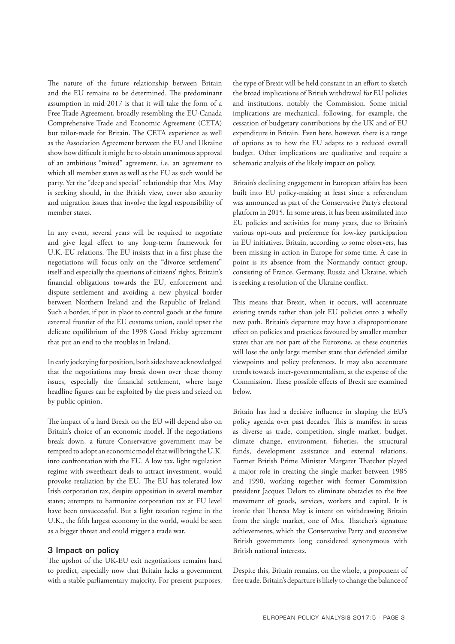The nature of the future relationship between Britain and the EU remains to be determined. The predominant assumption in mid-2017 is that it will take the form of a Free Trade Agreement, broadly resembling the EU-Canada Comprehensive Trade and Economic Agreement (CETA) but tailor-made for Britain. The CETA experience as well as the Association Agreement between the EU and Ukraine show how difficult it might be to obtain unanimous approval of an ambitious "mixed" agreement, i.e. an agreement to which all member states as well as the EU as such would be party. Yet the "deep and special" relationship that Mrs. May is seeking should, in the British view, cover also security and migration issues that involve the legal responsibility of member states.

In any event, several years will be required to negotiate and give legal effect to any long-term framework for U.K.-EU relations. The EU insists that in a first phase the negotiations will focus only on the "divorce settlement" itself and especially the questions of citizens' rights, Britain's financial obligations towards the EU, enforcement and dispute settlement and avoiding a new physical border between Northern Ireland and the Republic of Ireland. Such a border, if put in place to control goods at the future external frontier of the EU customs union, could upset the delicate equilibrium of the 1998 Good Friday agreement that put an end to the troubles in Ireland.

In early jockeying for position, both sides have acknowledged that the negotiations may break down over these thorny issues, especially the financial settlement, where large headline figures can be exploited by the press and seized on by public opinion.

The impact of a hard Brexit on the EU will depend also on Britain's choice of an economic model. If the negotiations break down, a future Conservative government may be tempted to adopt an economic model that will bring the U.K. into confrontation with the EU. A low tax, light regulation regime with sweetheart deals to attract investment, would provoke retaliation by the EU. The EU has tolerated low Irish corporation tax, despite opposition in several member states; attempts to harmonize corporation tax at EU level have been unsuccessful. But a light taxation regime in the U.K., the fifth largest economy in the world, would be seen as a bigger threat and could trigger a trade war.

#### 3 Impact on policy

The upshot of the UK-EU exit negotiations remains hard to predict, especially now that Britain lacks a government with a stable parliamentary majority. For present purposes, the type of Brexit will be held constant in an effort to sketch the broad implications of British withdrawal for EU policies and institutions, notably the Commission. Some initial implications are mechanical, following, for example, the cessation of budgetary contributions by the UK and of EU expenditure in Britain. Even here, however, there is a range of options as to how the EU adapts to a reduced overall budget. Other implications are qualitative and require a schematic analysis of the likely impact on policy.

Britain's declining engagement in European affairs has been built into EU policy-making at least since a referendum was announced as part of the Conservative Party's electoral platform in 2015. In some areas, it has been assimilated into EU policies and activities for many years, due to Britain's various opt-outs and preference for low-key participation in EU initiatives. Britain, according to some observers, has been missing in action in Europe for some time. A case in point is its absence from the Normandy contact group, consisting of France, Germany, Russia and Ukraine, which is seeking a resolution of the Ukraine conflict.

This means that Brexit, when it occurs, will accentuate existing trends rather than jolt EU policies onto a wholly new path. Britain's departure may have a disproportionate effect on policies and practices favoured by smaller member states that are not part of the Eurozone, as these countries will lose the only large member state that defended similar viewpoints and policy preferences. It may also accentuate trends towards inter-governmentalism, at the expense of the Commission. These possible effects of Brexit are examined below.

Britain has had a decisive influence in shaping the EU's policy agenda over past decades. This is manifest in areas as diverse as trade, competition, single market, budget, climate change, environment, fisheries, the structural funds, development assistance and external relations. Former British Prime Minister Margaret Thatcher played a major role in creating the single market between 1985 and 1990, working together with former Commission president Jacques Delors to eliminate obstacles to the free movement of goods, services, workers and capital. It is ironic that Theresa May is intent on withdrawing Britain from the single market, one of Mrs. Thatcher's signature achievements, which the Conservative Party and successive British governments long considered synonymous with British national interests.

Despite this, Britain remains, on the whole, a proponent of free trade. Britain's departure is likely to change the balance of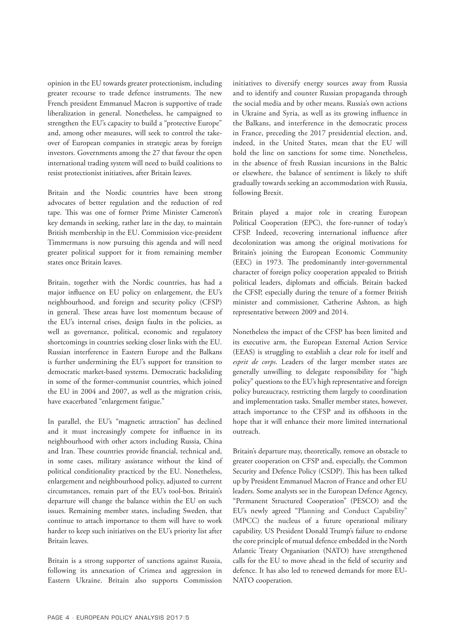opinion in the EU towards greater protectionism, including greater recourse to trade defence instruments. The new French president Emmanuel Macron is supportive of trade liberalization in general. Nonetheless, he campaigned to strengthen the EU's capacity to build a "protective Europe" and, among other measures, will seek to control the takeover of European companies in strategic areas by foreign investors. Governments among the 27 that favour the open international trading system will need to build coalitions to resist protectionist initiatives, after Britain leaves.

Britain and the Nordic countries have been strong advocates of better regulation and the reduction of red tape. This was one of former Prime Minister Cameron's key demands in seeking, rather late in the day, to maintain British membership in the EU. Commission vice-president Timmermans is now pursuing this agenda and will need greater political support for it from remaining member states once Britain leaves.

Britain, together with the Nordic countries, has had a major influence on EU policy on enlargement, the EU's neighbourhood, and foreign and security policy (CFSP) in general. These areas have lost momentum because of the EU's internal crises, design faults in the policies, as well as governance, political, economic and regulatory shortcomings in countries seeking closer links with the EU. Russian interference in Eastern Europe and the Balkans is further undermining the EU's support for transition to democratic market-based systems. Democratic backsliding in some of the former-communist countries, which joined the EU in 2004 and 2007, as well as the migration crisis, have exacerbated "enlargement fatigue."

In parallel, the EU's "magnetic attraction" has declined and it must increasingly compete for influence in its neighbourhood with other actors including Russia, China and Iran. These countries provide financial, technical and, in some cases, military assistance without the kind of political conditionality practiced by the EU. Nonetheless, enlargement and neighbourhood policy, adjusted to current circumstances, remain part of the EU's tool-box. Britain's departure will change the balance within the EU on such issues. Remaining member states, including Sweden, that continue to attach importance to them will have to work harder to keep such initiatives on the EU's priority list after Britain leaves.

Britain is a strong supporter of sanctions against Russia, following its annexation of Crimea and aggression in Eastern Ukraine. Britain also supports Commission initiatives to diversify energy sources away from Russia and to identify and counter Russian propaganda through the social media and by other means. Russia's own actions in Ukraine and Syria, as well as its growing influence in the Balkans, and interference in the democratic process in France, preceding the 2017 presidential election, and, indeed, in the United States, mean that the EU will hold the line on sanctions for some time. Nonetheless, in the absence of fresh Russian incursions in the Baltic or elsewhere, the balance of sentiment is likely to shift gradually towards seeking an accommodation with Russia, following Brexit.

Britain played a major role in creating European Political Cooperation (EPC), the fore-runner of today's CFSP. Indeed, recovering international influence after decolonization was among the original motivations for Britain's joining the European Economic Community (EEC) in 1973. The predominantly inter-governmental character of foreign policy cooperation appealed to British political leaders, diplomats and officials. Britain backed the CFSP, especially during the tenure of a former British minister and commissioner, Catherine Ashton, as high representative between 2009 and 2014.

Nonetheless the impact of the CFSP has been limited and its executive arm, the European External Action Service (EEAS) is struggling to establish a clear role for itself and *esprit de corps*. Leaders of the larger member states are generally unwilling to delegate responsibility for "high policy" questions to the EU's high representative and foreign policy bureaucracy, restricting them largely to coordination and implementation tasks. Smaller member states, however, attach importance to the CFSP and its offshoots in the hope that it will enhance their more limited international outreach.

Britain's departure may, theoretically, remove an obstacle to greater cooperation on CFSP and, especially, the Common Security and Defence Policy (CSDP). This has been talked up by President Emmanuel Macron of France and other EU leaders. Some analysts see in the European Defence Agency, "Permanent Structured Cooperation" (PESCO) and the EU's newly agreed "Planning and Conduct Capability" (MPCC) the nucleus of a future operational military capability. US President Donald Trump's failure to endorse the core principle of mutual defence embedded in the North Atlantic Treaty Organisation (NATO) have strengthened calls for the EU to move ahead in the field of security and defence. It has also led to renewed demands for more EU-NATO cooperation.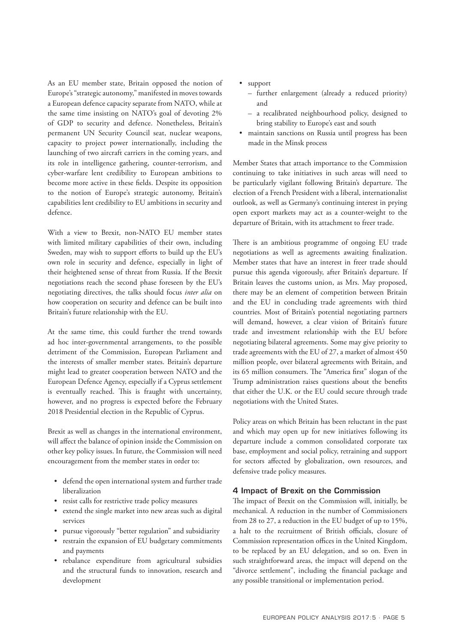As an EU member state, Britain opposed the notion of Europe's "strategic autonomy," manifested in moves towards a European defence capacity separate from NATO, while at the same time insisting on NATO's goal of devoting 2% of GDP to security and defence. Nonetheless, Britain's permanent UN Security Council seat, nuclear weapons, capacity to project power internationally, including the launching of two aircraft carriers in the coming years, and its role in intelligence gathering, counter-terrorism, and cyber-warfare lent credibility to European ambitions to become more active in these fields. Despite its opposition to the notion of Europe's strategic autonomy, Britain's capabilities lent credibility to EU ambitions in security and defence.

With a view to Brexit, non-NATO EU member states with limited military capabilities of their own, including Sweden, may wish to support efforts to build up the EU's own role in security and defence, especially in light of their heightened sense of threat from Russia. If the Brexit negotiations reach the second phase foreseen by the EU's negotiating directives, the talks should focus *inter alia* on how cooperation on security and defence can be built into Britain's future relationship with the EU.

At the same time, this could further the trend towards ad hoc inter-governmental arrangements, to the possible detriment of the Commission, European Parliament and the interests of smaller member states. Britain's departure might lead to greater cooperation between NATO and the European Defence Agency, especially if a Cyprus settlement is eventually reached. This is fraught with uncertainty, however, and no progress is expected before the February 2018 Presidential election in the Republic of Cyprus.

Brexit as well as changes in the international environment, will affect the balance of opinion inside the Commission on other key policy issues. In future, the Commission will need encouragement from the member states in order to:

- defend the open international system and further trade liberalization
- resist calls for restrictive trade policy measures
- extend the single market into new areas such as digital services
- pursue vigorously "better regulation" and subsidiarity
- restrain the expansion of EU budgetary commitments and payments
- rebalance expenditure from agricultural subsidies and the structural funds to innovation, research and development
- support
	- further enlargement (already a reduced priority) and
	- a recalibrated neighbourhood policy, designed to bring stability to Europe's east and south
- maintain sanctions on Russia until progress has been made in the Minsk process

Member States that attach importance to the Commission continuing to take initiatives in such areas will need to be particularly vigilant following Britain's departure. The election of a French President with a liberal, internationalist outlook, as well as Germany's continuing interest in prying open export markets may act as a counter-weight to the departure of Britain, with its attachment to freer trade.

There is an ambitious programme of ongoing EU trade negotiations as well as agreements awaiting finalization. Member states that have an interest in freer trade should pursue this agenda vigorously, after Britain's departure. If Britain leaves the customs union, as Mrs. May proposed, there may be an element of competition between Britain and the EU in concluding trade agreements with third countries. Most of Britain's potential negotiating partners will demand, however, a clear vision of Britain's future trade and investment relationship with the EU before negotiating bilateral agreements. Some may give priority to trade agreements with the EU of 27, a market of almost 450 million people, over bilateral agreements with Britain, and its 65 million consumers. The "America first" slogan of the Trump administration raises questions about the benefits that either the U.K. or the EU could secure through trade negotiations with the United States.

Policy areas on which Britain has been reluctant in the past and which may open up for new initiatives following its departure include a common consolidated corporate tax base, employment and social policy, retraining and support for sectors affected by globalization, own resources, and defensive trade policy measures.

#### 4 Impact of Brexit on the Commission

The impact of Brexit on the Commission will, initially, be mechanical. A reduction in the number of Commissioners from 28 to 27, a reduction in the EU budget of up to 15%, a halt to the recruitment of British officials, closure of Commission representation offices in the United Kingdom, to be replaced by an EU delegation, and so on. Even in such straightforward areas, the impact will depend on the "divorce settlement", including the financial package and any possible transitional or implementation period.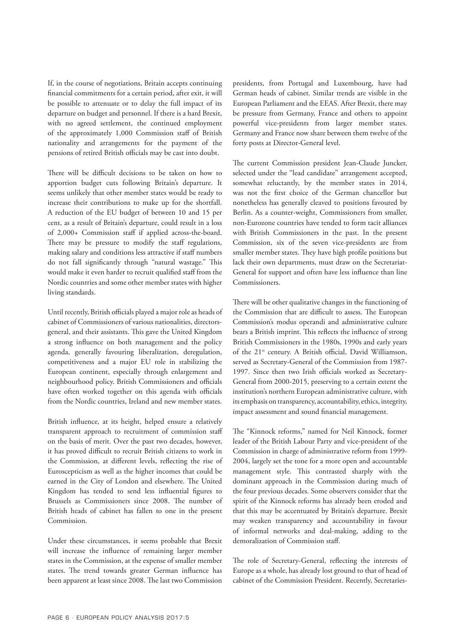If, in the course of negotiations, Britain accepts continuing financial commitments for a certain period, after exit, it will be possible to attenuate or to delay the full impact of its departure on budget and personnel. If there is a hard Brexit, with no agreed settlement, the continued employment of the approximately 1,000 Commission staff of British nationality and arrangements for the payment of the pensions of retired British officials may be cast into doubt.

There will be difficult decisions to be taken on how to apportion budget cuts following Britain's departure. It seems unlikely that other member states would be ready to increase their contributions to make up for the shortfall. A reduction of the EU budget of between 10 and 15 per cent, as a result of Britain's departure, could result in a loss of 2,000+ Commission staff if applied across-the-board. There may be pressure to modify the staff regulations, making salary and conditions less attractive if staff numbers do not fall significantly through "natural wastage." This would make it even harder to recruit qualified staff from the Nordic countries and some other member states with higher living standards.

Until recently, British officials played a major role as heads of cabinet of Commissioners of various nationalities, directorsgeneral, and their assistants. This gave the United Kingdom a strong influence on both management and the policy agenda, generally favouring liberalization, deregulation, competitiveness and a major EU role in stabilizing the European continent, especially through enlargement and neighbourhood policy. British Commissioners and officials have often worked together on this agenda with officials from the Nordic countries, Ireland and new member states.

British influence, at its height, helped ensure a relatively transparent approach to recruitment of commission staff on the basis of merit. Over the past two decades, however, it has proved difficult to recruit British citizens to work in the Commission, at different levels, reflecting the rise of Euroscepticism as well as the higher incomes that could be earned in the City of London and elsewhere. The United Kingdom has tended to send less influential figures to Brussels as Commissioners since 2008. The number of British heads of cabinet has fallen to one in the present Commission.

Under these circumstances, it seems probable that Brexit will increase the influence of remaining larger member states in the Commission, at the expense of smaller member states. The trend towards greater German influence has been apparent at least since 2008. The last two Commission presidents, from Portugal and Luxembourg, have had German heads of cabinet. Similar trends are visible in the European Parliament and the EEAS. After Brexit, there may be pressure from Germany, France and others to appoint powerful vice-presidents from larger member states. Germany and France now share between them twelve of the forty posts at Director-General level.

The current Commission president Jean-Claude Juncker, selected under the "lead candidate" arrangement accepted, somewhat reluctantly, by the member states in 2014, was not the first choice of the German chancellor but nonetheless has generally cleaved to positions favoured by Berlin. As a counter-weight, Commissioners from smaller, non-Eurozone countries have tended to form tacit alliances with British Commissioners in the past. In the present Commission, six of the seven vice-presidents are from smaller member states. They have high profile positions but lack their own departments, must draw on the Secretariat-General for support and often have less influence than line Commissioners.

There will be other qualitative changes in the functioning of the Commission that are difficult to assess. The European Commission's modus operandi and administrative culture bears a British imprint. This reflects the influence of strong British Commissioners in the 1980s, 1990s and early years of the 21<sup>st</sup> century. A British official, David Williamson, served as Secretary-General of the Commission from 1987- 1997. Since then two Irish officials worked as Secretary-General from 2000-2015, preserving to a certain extent the institution's northern European administrative culture, with its emphasis on transparency, accountability, ethics, integrity, impact assessment and sound financial management.

The "Kinnock reforms," named for Neil Kinnock, former leader of the British Labour Party and vice-president of the Commission in charge of administrative reform from 1999- 2004, largely set the tone for a more open and accountable management style. This contrasted sharply with the dominant approach in the Commission during much of the four previous decades. Some observers consider that the spirit of the Kinnock reforms has already been eroded and that this may be accentuated by Britain's departure. Brexit may weaken transparency and accountability in favour of informal networks and deal-making, adding to the demoralization of Commission staff.

The role of Secretary-General, reflecting the interests of Europe as a whole, has already lost ground to that of head of cabinet of the Commission President. Recently, Secretaries-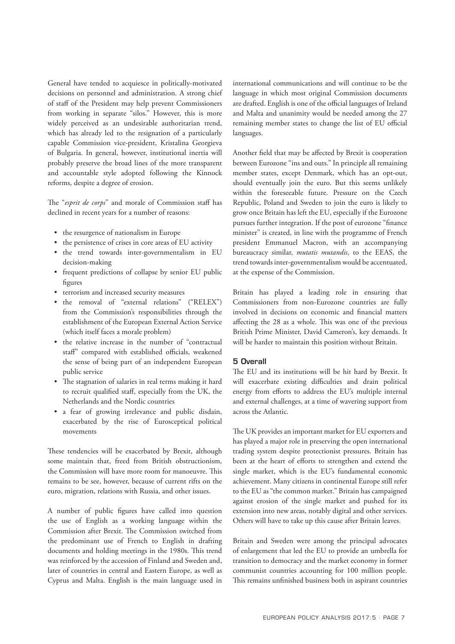General have tended to acquiesce in politically-motivated decisions on personnel and administration. A strong chief of staff of the President may help prevent Commissioners from working in separate "silos." However, this is more widely perceived as an undesirable authoritarian trend, which has already led to the resignation of a particularly capable Commission vice-president, Kristalina Georgieva of Bulgaria. In general, however, institutional inertia will probably preserve the broad lines of the more transparent and accountable style adopted following the Kinnock reforms, despite a degree of erosion.

The "*esprit de corps*" and morale of Commission staff has declined in recent years for a number of reasons:

- the resurgence of nationalism in Europe
- the persistence of crises in core areas of EU activity
- the trend towards inter-governmentalism in EU decision-making
- frequent predictions of collapse by senior EU public figures
- terrorism and increased security measures
- the removal of "external relations" ("RELEX") from the Commission's responsibilities through the establishment of the European External Action Service (which itself faces a morale problem)
- the relative increase in the number of "contractual staff" compared with established officials, weakened the sense of being part of an independent European public service
- The stagnation of salaries in real terms making it hard to recruit qualified staff, especially from the UK, the Netherlands and the Nordic countries
- a fear of growing irrelevance and public disdain, exacerbated by the rise of Eurosceptical political movements

These tendencies will be exacerbated by Brexit, although some maintain that, freed from British obstructionism, the Commission will have more room for manoeuvre. This remains to be see, however, because of current rifts on the euro, migration, relations with Russia, and other issues.

A number of public figures have called into question the use of English as a working language within the Commission after Brexit. The Commission switched from the predominant use of French to English in drafting documents and holding meetings in the 1980s. This trend was reinforced by the accession of Finland and Sweden and, later of countries in central and Eastern Europe, as well as Cyprus and Malta. English is the main language used in international communications and will continue to be the language in which most original Commission documents are drafted. English is one of the official languages of Ireland and Malta and unanimity would be needed among the 27 remaining member states to change the list of EU official languages.

Another field that may be affected by Brexit is cooperation between Eurozone "ins and outs." In principle all remaining member states, except Denmark, which has an opt-out, should eventually join the euro. But this seems unlikely within the foreseeable future. Pressure on the Czech Republic, Poland and Sweden to join the euro is likely to grow once Britain has left the EU, especially if the Eurozone pursues further integration. If the post of eurozone "finance minister" is created, in line with the programme of French president Emmanuel Macron, with an accompanying bureaucracy similar, *mutatis mutandis*, to the EEAS, the trend towards inter-governmentalism would be accentuated, at the expense of the Commission.

Britain has played a leading role in ensuring that Commissioners from non-Eurozone countries are fully involved in decisions on economic and financial matters affecting the 28 as a whole. This was one of the previous British Prime Minister, David Cameron's, key demands. It will be harder to maintain this position without Britain.

#### 5 Overall

The EU and its institutions will be hit hard by Brexit. It will exacerbate existing difficulties and drain political energy from efforts to address the EU's multiple internal and external challenges, at a time of wavering support from across the Atlantic.

The UK provides an important market for EU exporters and has played a major role in preserving the open international trading system despite protectionist pressures. Britain has been at the heart of efforts to strengthen and extend the single market, which is the EU's fundamental economic achievement. Many citizens in continental Europe still refer to the EU as "the common market." Britain has campaigned against erosion of the single market and pushed for its extension into new areas, notably digital and other services. Others will have to take up this cause after Britain leaves.

Britain and Sweden were among the principal advocates of enlargement that led the EU to provide an umbrella for transition to democracy and the market economy in former communist countries accounting for 100 million people. This remains unfinished business both in aspirant countries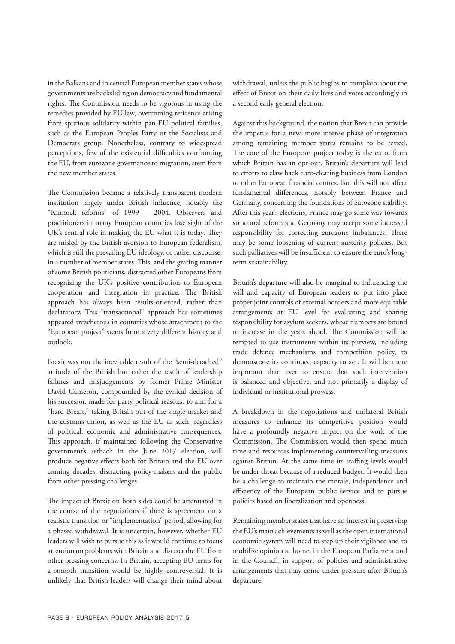in the Balkans and in central European member states whose governments are backsliding on democracy and fundamental rights. The Commission needs to be vigorous in using the remedies provided by EU law, overcoming reticence arising from spurious solidarity within pan-EU political families, such as the European Peoples Party or the Socialists and Democrats group. Nonetheless, contrary to widespread perceptions, few of the existential difficulties confronting the EU, from eurozone governance to migration, stem from the new member states.

The Commission became a relatively transparent modern institution largely under British influence, notably the "Kinnock reforms" of 1999 – 2004. Observers and practitioners in many European countries lose sight of the UK's central role in making the EU what it is today. They are misled by the British aversion to European federalism, which is still the prevailing EU ideology, or rather discourse, in a number of member states. This, and the grating manner of some British politicians, distracted other Europeans from recognizing the UK's positive contribution to European cooperation and integration in practice. The British approach has always been results-oriented, rather than declaratory. This "transactional" approach has sometimes appeared treacherous in countries whose attachment to the "European project" stems from a very different history and outlook.

Brexit was not the inevitable result of the "semi-detached" attitude of the British but rather the result of leadership failures and misjudgements by former Prime Minister David Cameron, compounded by the cynical decision of his successor, made for party political reasons, to aim for a "hard Brexit," taking Britain out of the single market and the customs union, as well as the EU as such, regardless of political, economic and administrative consequences. This approach, if maintained following the Conservative government's setback in the June 2017 election, will produce negative effects both for Britain and the EU over coming decades, distracting policy-makers and the public from other pressing challenges.

The impact of Brexit on both sides could be attenuated in the course of the negotiations if there is agreement on a realistic transition or "implementation" period, allowing for a phased withdrawal. It is uncertain, however, whether EU leaders will wish to pursue this as it would continue to focus attention on problems with Britain and distract the EU from other pressing concerns. In Britain, accepting EU terms for a smooth transition would be highly controversial. It is unlikely that British leaders will change their mind about

withdrawal, unless the public begins to complain about the effect of Brexit on their daily lives and votes accordingly in a second early general election.

Against this background, the notion that Brexit can provide the impetus for a new, more intense phase of integration among remaining member states remains to be tested. The core of the European project today is the euro, from which Britain has an opt-out. Britain's departure will lead to efforts to claw back euro-clearing business from London to other European financial centres. But this will not affect fundamental differences, notably between France and Germany, concerning the foundations of eurozone stability. After this year's elections, France may go some way towards structural reform and Germany may accept some increased responsibility for correcting eurozone imbalances. There may be some loosening of current austerity policies. But such palliatives will be insufficient to ensure the euro's longterm sustainability.

Britain's departure will also be marginal to influencing the will and capacity of European leaders to put into place proper joint controls of external borders and more equitable arrangements at EU level for evaluating and sharing responsibility for asylum seekers, whose numbers are bound to increase in the years ahead. The Commission will be tempted to use instruments within its purview, including trade defence mechanisms and competition policy, to demonstrate its continued capacity to act. It will be more important than ever to ensure that such intervention is balanced and objective, and not primarily a display of individual or institutional prowess.

A breakdown in the negotiations and unilateral British measures to enhance its competitive position would have a profoundly negative impact on the work of the Commission. The Commission would then spend much time and resources implementing countervailing measures against Britain. At the same time its staffing levels would be under threat because of a reduced budget. It would then be a challenge to maintain the morale, independence and efficiency of the European public service and to pursue policies based on liberalization and openness.

Remaining member states that have an interest in preserving the EU's main achievements as well as the open international economic system will need to step up their vigilance and to mobilize opinion at home, in the European Parliament and in the Council, in support of policies and administrative arrangements that may come under pressure after Britain's departure.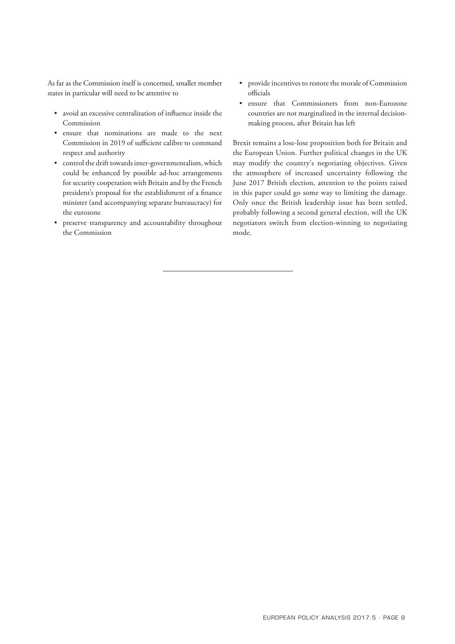As far as the Commission itself is concerned, smaller member states in particular will need to be attentive to

- avoid an excessive centralization of influence inside the Commission
- ensure that nominations are made to the next Commission in 2019 of sufficient calibre to command respect and authority
- control the drift towards inter-governmentalism, which could be enhanced by possible ad-hoc arrangements for security cooperation with Britain and by the French president's proposal for the establishment of a finance minister (and accompanying separate bureaucracy) for the eurozone
- preserve transparency and accountability throughout the Commission
- provide incentives to restore the morale of Commission officials
- ensure that Commissioners from non-Eurozone countries are not marginalized in the internal decisionmaking process, after Britain has left

Brexit remains a lose-lose proposition both for Britain and the European Union. Further political changes in the UK may modify the country's negotiating objectives. Given the atmosphere of increased uncertainty following the June 2017 British election, attention to the points raised in this paper could go some way to limiting the damage. Only once the British leadership issue has been settled, probably following a second general election, will the UK negotiators switch from election-winning to negotiating mode.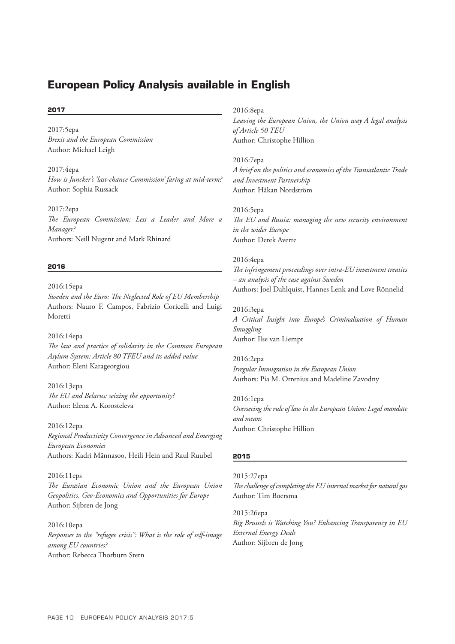# **European Policy Analysis available in English**

#### **2017**

2017:5epa *Brexit and the European Commission* Author: Michael Leigh

2017:4epa *How is Juncker's 'last-chance Commission' faring at mid-term?* Author: Sophia Russack

2017:2epa *The European Commission: Less a Leader and More a Manager?* Authors: Neill Nugent and Mark Rhinard

#### **2016**

2016:15epa *Sweden and the Euro: The Neglected Role of EU Membership* Authors: Nauro F. Campos, Fabrizio Coricelli and Luigi Moretti

2016:14epa *The law and practice of solidarity in the Common European Asylum System: Article 80 TFEU and its added value* Author: Eleni Karageorgiou

2016:13epa *The EU and Belarus: seizing the opportunity?* Author: Elena A. Korosteleva

2016:12epa *Regional Productivity Convergence in Advanced and Emerging European Economies* Authors: Kadri Männasoo, Heili Hein and Raul Ruubel

2016:11eps *The Eurasian Economic Union and the European Union Geopolitics, Geo-Economics and Opportunities for Europe* Author: Sijbren de Jong

2016:10epa *Responses to the "refugee crisis": What is the role of self-image among EU countries?* Author: Rebecca Thorburn Stern

2016:8epa

*Leaving the European Union, the Union way A legal analysis of Article 50 TEU* Author: Christophe Hillion

2016:7epa *A brief on the politics and economics of the Transatlantic Trade and Investment Partnership* Author: Håkan Nordström

2016:5epa *The EU and Russia: managing the new security environment in the wider Europe* Author: Derek Averre

2016:4epa *The infringement proceedings over intra-EU investment treaties – an analysis of the case against Sweden*

Authors: Joel Dahlquist, Hannes Lenk and Love Rönnelid

2016:3epa *A Critical Insight into Europe's Criminalisation of Human Smuggling* Author: Ilse van Liempt

2016:2epa *Irregular Immigration in the European Union* Authors: Pia M. Orrenius and Madeline Zavodny

2016:1epa *Overseeing the rule of law in the European Union: Legal mandate and means* Author: Christophe Hillion

#### **2015**

2015:27epa

*The challenge of completing the EU internal market for natural gas* Author: Tim Boersma

2015:26epa *Big Brussels is Watching You? Enhancing Transparency in EU External Energy Deals* Author: Sijbren de Jong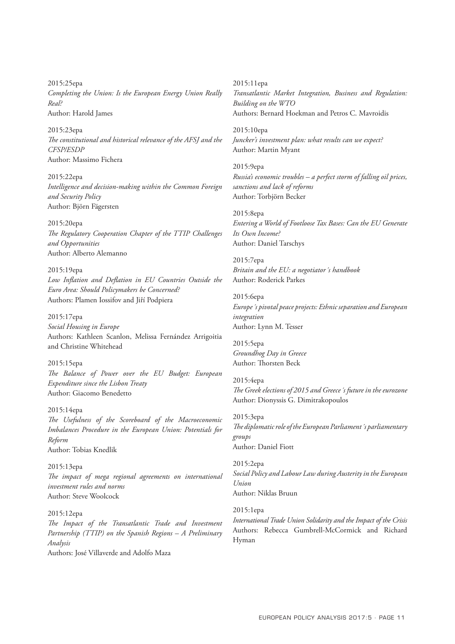2015:25epa *Completing the Union: Is the European Energy Union Really Real?* Author: Harold James

2015:23epa *The constitutional and historical relevance of the AFSJ and the CFSP/ESDP* Author: Massimo Fichera

2015:22epa *Intelligence and decision-making within the Common Foreign and Security Policy*  Author: Björn Fägersten

2015:20epa *The Regulatory Cooperation Chapter of the TTIP Challenges and Opportunities*  Author: Alberto Alemanno

2015:19epa *Low Inflation and Deflation in EU Countries Outside the Euro Area: Should Policymakers be Concerned?*  Authors: Plamen Iossifov and Jiří Podpiera

2015:17epa *Social Housing in Europe* Authors: Kathleen Scanlon, Melissa Fernández Arrigoitia and Christine Whitehead

2015:15epa *The Balance of Power over the EU Budget: European Expenditure since the Lisbon Treaty* Author: Giacomo Benedetto

2015:14epa *The Usefulness of the Scoreboard of the Macroeconomic Imbalances Procedure in the European Union: Potentials for Reform* Author: Tobias Knedlik

2015:13epa *The impact of mega regional agreements on international investment rules and norms* Author: Steve Woolcock

#### 2015:12epa

*The Impact of the Transatlantic Trade and Investment Partnership (TTIP) on the Spanish Regions – A Preliminary Analysis*

Authors: José Villaverde and Adolfo Maza

2015:11epa *Transatlantic Market Integration, Business and Regulation: Building on the WTO* Authors: Bernard Hoekman and Petros C. Mavroidis

2015:10epa *Juncker's investment plan: what results can we expect?* Author: Martin Myant

2015:9epa *Russia's economic troubles – a perfect storm of falling oil prices, sanctions and lack of reforms* Author: Torbjörn Becker

2015:8epa *Entering a World of Footloose Tax Bases: Can the EU Generate Its Own Income?* Author: Daniel Tarschys

2015:7epa *Britain and the EU: a negotiator´s handbook* Author: Roderick Parkes

2015:6epa *Europe´s pivotal peace projects: Ethnic separation and European integration* Author: Lynn M. Tesser

2015:5epa *Groundhog Day in Greece* Author: Thorsten Beck

2015:4epa *The Greek elections of 2015 and Greece´s future in the eurozone* Author: Dionyssis G. Dimitrakopoulos

2015:3epa *The diplomatic role of the European Parliament´s parliamentary groups* Author: Daniel Fiott

2015:2epa *Social Policy and Labour Law during Austerity in the European Union* Author: Niklas Bruun

#### 2015:1epa

*International Trade Union Solidarity and the Impact of the Crisis* Authors: Rebecca Gumbrell-McCormick and Richard Hyman